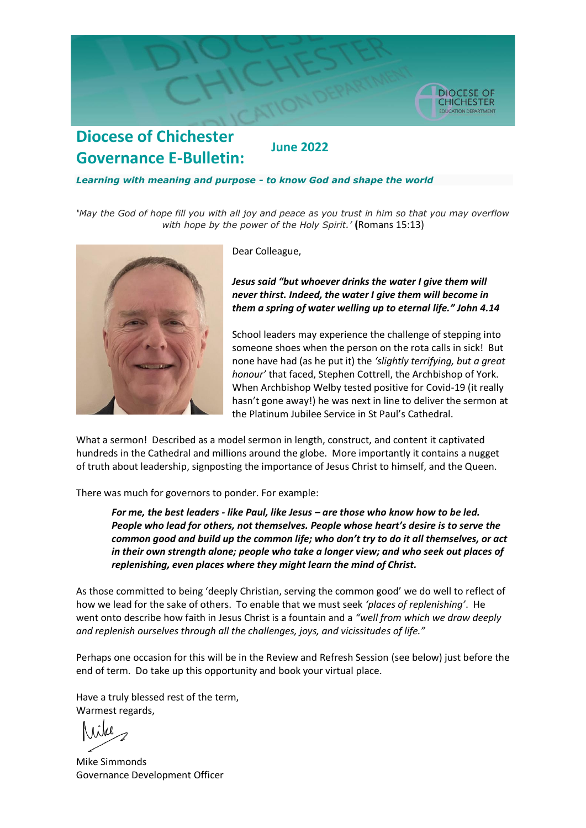

### **Diocese of Chichester June 2022 Governance E-Bulletin:**

#### *Learning with meaning and purpose - to know God and shape the world*

*'May the God of hope fill you with all joy and peace as you trust in him so that you may overflow with hope by the power of the Holy Spirit.'* **(**Romans 15:13)



Dear Colleague,

*Jesus said "but whoever drinks the water I give them will never thirst. Indeed, the water I give them will become in them a spring of water welling up to eternal life." John 4.14*

School leaders may experience the challenge of stepping into someone shoes when the person on the rota calls in sick! But none have had (as he put it) the *'slightly terrifying, but a great honour'* that faced, Stephen Cottrell, the Archbishop of York. When Archbishop Welby tested positive for Covid-19 (it really hasn't gone away!) he was next in line to deliver the sermon at the Platinum Jubilee Service in St Paul's Cathedral.

What a sermon! Described as a model sermon in length, construct, and content it captivated hundreds in the Cathedral and millions around the globe. More importantly it contains a nugget of truth about leadership, signposting the importance of Jesus Christ to himself, and the Queen.

There was much for governors to ponder. For example:

*For me, the best leaders - like Paul, like Jesus – are those who know how to be led. People who lead for others, not themselves. People whose heart's desire is to serve the common good and build up the common life; who don't try to do it all themselves, or act in their own strength alone; people who take a longer view; and who seek out places of replenishing, even places where they might learn the mind of Christ.*

As those committed to being 'deeply Christian, serving the common good' we do well to reflect of how we lead for the sake of others. To enable that we must seek *'places of replenishing'*. He went onto describe how faith in Jesus Christ is a fountain and a *"well from which we draw deeply and replenish ourselves through all the challenges, joys, and vicissitudes of life."*

Perhaps one occasion for this will be in the Review and Refresh Session (see below) just before the end of term. Do take up this opportunity and book your virtual place.

Have a truly blessed rest of the term, Warmest regards,

Mike Simmonds Governance Development Officer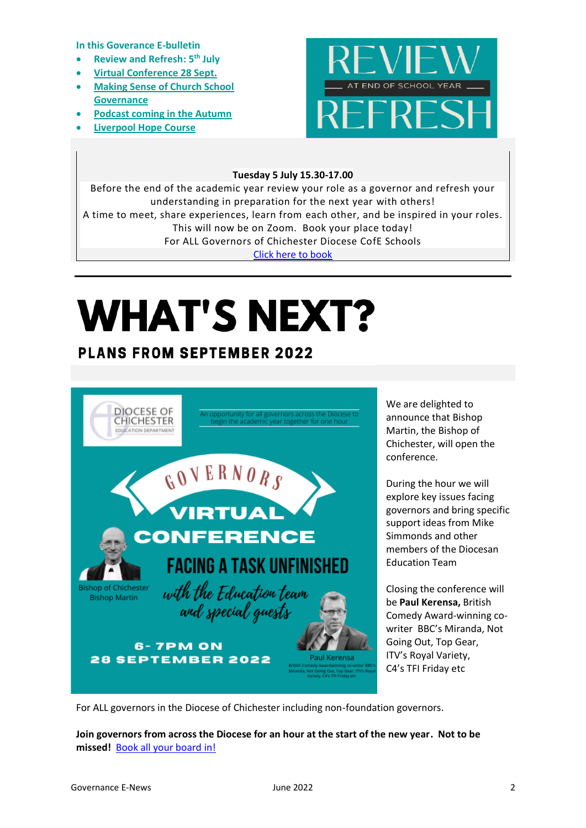**In this Goverance E-bulletin**

- **Review and Refresh: 5th July**
- **[Virtual Conference 28 Sept.](#page-1-0)**
- **[Making Sense of Church School](#page-2-0)  [Governance](#page-2-0)**
- **[Podcast coming in the Autumn](#page-3-0)**
- **[Liverpool Hope Course](#page-3-1)**



### **Tuesday 5 July 15.30-17.00**

Before the end of the academic year review your role as a governor and refresh your understanding in preparation for the next year with others! A time to meet, share experiences, learn from each other, and be inspired in your roles. This will now be on Zoom. Book your place today! For ALL Governors of Chichester Diocese CofE Schools [Click here to book](https://www.eventbrite.co.uk/e/review-and-refresh-tickets-227683325957?aff=ebdsoporgprofile)

# **WHAT'S NEXT?**

## **PLANS FROM SEPTEMBER 2022**



<span id="page-1-0"></span>We are delighted to announce that Bishop Martin, the Bishop of Chichester, will open the conference.

During the hour we will explore key issues facing governors and bring specific support ideas from Mike Simmonds and other members of the Diocesan Education Team

Closing the conference will be **Paul Kerensa,** British Comedy Award-winning cowriter BBC's Miranda, Not Going Out, Top Gear, ITV's Royal Variety, C4's TFI Friday etc

For ALL governors in the Diocese of Chichester including non-foundation governors.

**Join governors from across the Diocese for an hour at the start of the new year. Not to be missed!** [Book all your board in!](https://www.eventbrite.co.uk/e/diocese-of-chichester-governors-conference-tickets-368115141297)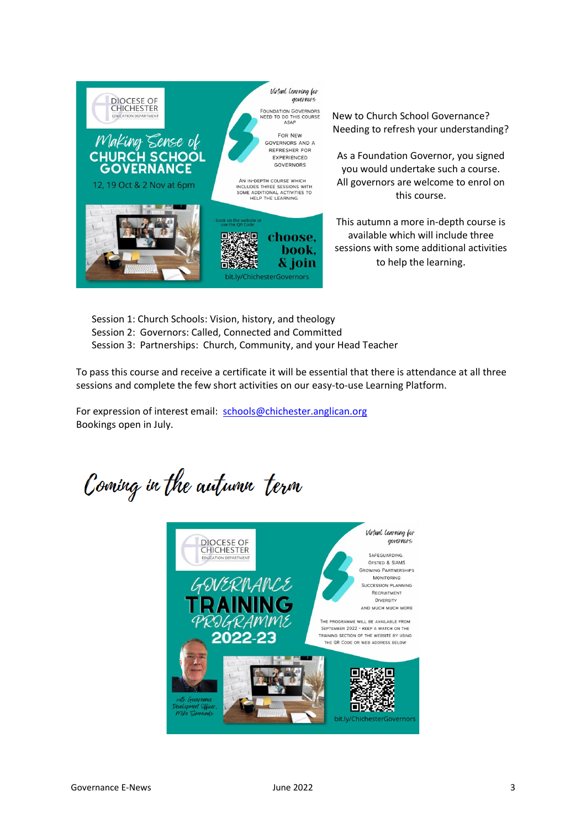

<span id="page-2-0"></span>New to Church School Governance? Needing to refresh your understanding?

As a Foundation Governor, you signed you would undertake such a course. All governors are welcome to enrol on this course.

This autumn a more in-depth course is available which will include three sessions with some additional activities to help the learning.

Session 1: Church Schools: Vision, history, and theology Session 2: Governors: Called, Connected and Committed Session 3: Partnerships: Church, Community, and your Head Teacher

To pass this course and receive a certificate it will be essential that there is attendance at all three sessions and complete the few short activities on our easy-to-use Learning Platform.

For expression of interest email: [schools@chichester.anglican.org](mailto:schools@chichester.anglican.org) Bookings open in July.

Coming in the autumn term

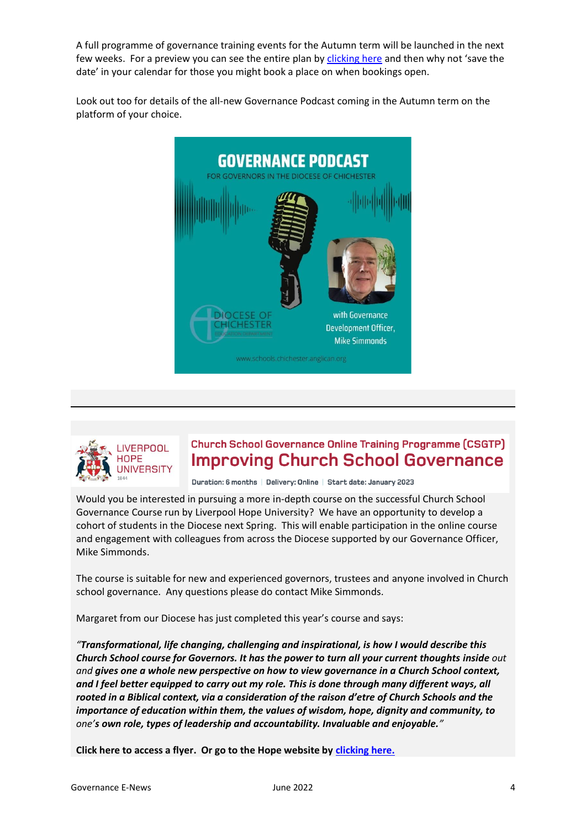A full programme of governance training events for the Autumn term will be launched in the next few weeks. For a preview you can see the entire plan by [clicking here](https://cofechichestereducation.contentfiles.net/media/documents/document/2022/06/2022-23_Draft_Governor_Training.pdf) and then why not 'save the date' in your calendar for those you might book a place on when bookings open.

<span id="page-3-0"></span>Look out too for details of the all-new Governance Podcast coming in the Autumn term on the platform of your choice.





## **Church School Governance Online Training Programme (CSGTP) Improving Church School Governance**

<span id="page-3-1"></span>Duration: 6 months | Delivery: Online | Start date: January 2023

Would you be interested in pursuing a more in-depth course on the successful Church School Governance Course run by Liverpool Hope University? We have an opportunity to develop a cohort of students in the Diocese next Spring. This will enable participation in the online course and engagement with colleagues from across the Diocese supported by our Governance Officer, Mike Simmonds.

The course is suitable for new and experienced governors, trustees and anyone involved in Church school governance. Any questions please do contact Mike Simmonds.

Margaret from our Diocese has just completed this year's course and says:

*"Transformational, life changing, challenging and inspirational, is how I would describe this Church School course for Governors. It has the power to turn all your current thoughts inside out and gives one a whole new perspective on how to view governance in a Church School context, and I feel better equipped to carry out my role. This is done through many different ways, all rooted in a Biblical context, via a consideration of the raison d'etre of Church Schools and the importance of education within them, the values of wisdom, hope, dignity and community, to one's own role, types of leadership and accountability. Invaluable and enjoyable."*

**Click here to access a flyer. Or go to the Hope website by [clicking here.](https://www.hope.ac.uk/postgraduate/postgraduatecourses/churchschoolgovernancetrainingprogrammeonline/)**